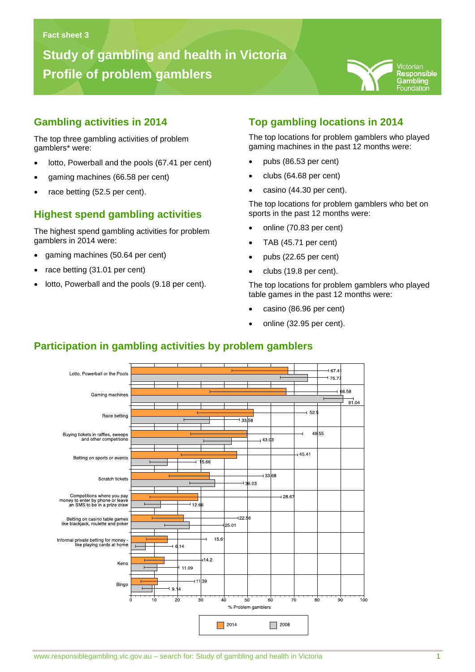# **Study of gambling and health in Victoria Profile of problem gamblers**



#### **Gambling activities in 2014**

The top three gambling activities of problem gamblers\* were:

lotto, Powerball and the pools (67.41 per cent)

**Gambling problems in Victoria**

- gaming machines (66.58 per cent)
- race betting (52.5 per cent).

#### **Highest spend gambling activities**

The highest spend gambling activities for problem gamblers in 2014 were:

- gaming machines (50.64 per cent)
- race betting (31.01 per cent)
- lotto, Powerball and the pools (9.18 per cent).

### **Top gambling locations in 2014**

The top locations for problem gamblers who played gaming machines in the past 12 months were:

- pubs (86.53 per cent)
- clubs (64.68 per cent)
- casino (44.30 per cent).

The top locations for problem gamblers who bet on sports in the past 12 months were:

- online (70.83 per cent)
- TAB (45.71 per cent)
- pubs (22.65 per cent)
- clubs (19.8 per cent).

The top locations for problem gamblers who played table games in the past 12 months were:

- casino (86.96 per cent)
- online (32.95 per cent).



### **Participation in gambling activities by problem gamblers**